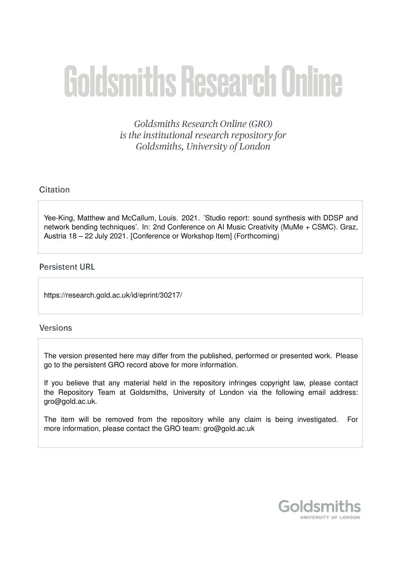# **Goldsmiths Research Online**

Goldsmiths Research Online (GRO) is the institutional research repository for Goldsmiths, University of London

# Citation

Yee-King, Matthew and McCallum, Louis. 2021. 'Studio report: sound synthesis with DDSP and network bending techniques'. In: 2nd Conference on AI Music Creativity (MuMe + CSMC). Graz, Austria 18 – 22 July 2021. [Conference or Workshop Item] (Forthcoming)

# **Persistent URL**

https://research.gold.ac.uk/id/eprint/30217/

# **Versions**

The version presented here may differ from the published, performed or presented work. Please go to the persistent GRO record above for more information.

If you believe that any material held in the repository infringes copyright law, please contact the Repository Team at Goldsmiths, University of London via the following email address: gro@gold.ac.uk.

The item will be removed from the repository while any claim is being investigated. For more information, please contact the GRO team: gro@gold.ac.uk

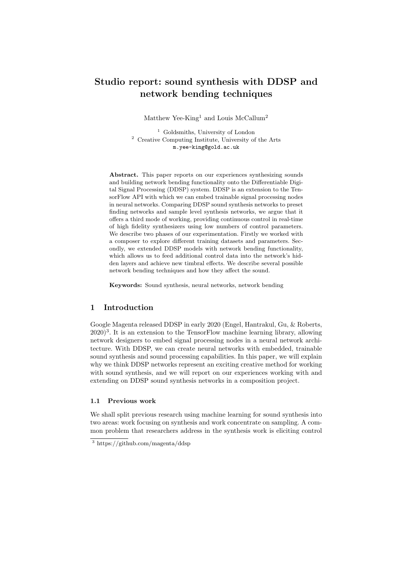# Studio report: sound synthesis with DDSP and network bending techniques

Matthew Yee-King<sup>1</sup> and Louis McCallum<sup>2</sup>

<sup>1</sup> Goldsmiths, University of London <sup>2</sup> Creative Computing Institute, University of the Arts m.yee-king@gold.ac.uk

Abstract. This paper reports on our experiences synthesizing sounds and building network bending functionality onto the Differentiable Digital Signal Processing (DDSP) system. DDSP is an extension to the TensorFlow API with which we can embed trainable signal processing nodes in neural networks. Comparing DDSP sound synthesis networks to preset finding networks and sample level synthesis networks, we argue that it offers a third mode of working, providing continuous control in real-time of high fidelity synthesizers using low numbers of control parameters. We describe two phases of our experimentation. Firstly we worked with a composer to explore different training datasets and parameters. Secondly, we extended DDSP models with network bending functionality, which allows us to feed additional control data into the network's hidden layers and achieve new timbral effects. We describe several possible network bending techniques and how they affect the sound.

Keywords: Sound synthesis, neural networks, network bending

# 1 Introduction

Google Magenta released DDSP in early 2020 (Engel, Hantrakul, Gu, & Roberts,  $(2020)^3$ . It is an extension to the TensorFlow machine learning library, allowing network designers to embed signal processing nodes in a neural network architecture. With DDSP, we can create neural networks with embedded, trainable sound synthesis and sound processing capabilities. In this paper, we will explain why we think DDSP networks represent an exciting creative method for working with sound synthesis, and we will report on our experiences working with and extending on DDSP sound synthesis networks in a composition project.

### 1.1 Previous work

We shall split previous research using machine learning for sound synthesis into two areas: work focusing on synthesis and work concentrate on sampling. A common problem that researchers address in the synthesis work is eliciting control

<sup>3</sup> https://github.com/magenta/ddsp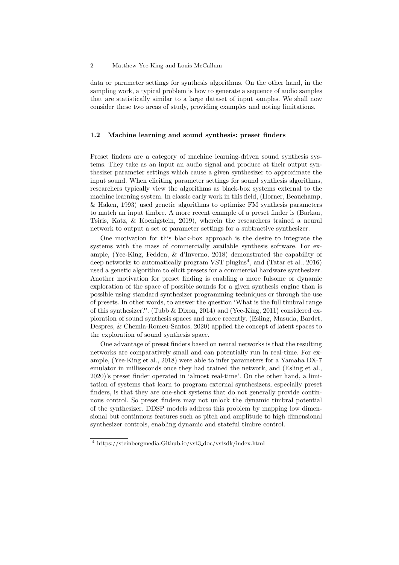data or parameter settings for synthesis algorithms. On the other hand, in the sampling work, a typical problem is how to generate a sequence of audio samples that are statistically similar to a large dataset of input samples. We shall now consider these two areas of study, providing examples and noting limitations.

# 1.2 Machine learning and sound synthesis: preset finders

Preset finders are a category of machine learning-driven sound synthesis systems. They take as an input an audio signal and produce at their output synthesizer parameter settings which cause a given synthesizer to approximate the input sound. When eliciting parameter settings for sound synthesis algorithms, researchers typically view the algorithms as black-box systems external to the machine learning system. In classic early work in this field, (Horner, Beauchamp, & Haken, 1993) used genetic algorithms to optimize FM synthesis parameters to match an input timbre. A more recent example of a preset finder is (Barkan, Tsiris, Katz, & Koenigstein, 2019), wherein the researchers trained a neural network to output a set of parameter settings for a subtractive synthesizer.

One motivation for this black-box approach is the desire to integrate the systems with the mass of commercially available synthesis software. For example, (Yee-King, Fedden, & d'Inverno, 2018) demonstrated the capability of deep networks to automatically program VST plugins<sup>4</sup>, and (Tatar et al., 2016) used a genetic algorithm to elicit presets for a commercial hardware synthesizer. Another motivation for preset finding is enabling a more fulsome or dynamic exploration of the space of possible sounds for a given synthesis engine than is possible using standard synthesizer programming techniques or through the use of presets. In other words, to answer the question 'What is the full timbral range of this synthesizer?'. (Tubb & Dixon, 2014) and (Yee-King, 2011) considered exploration of sound synthesis spaces and more recently, (Esling, Masuda, Bardet, Despres, & Chemla-Romeu-Santos, 2020) applied the concept of latent spaces to the exploration of sound synthesis space.

One advantage of preset finders based on neural networks is that the resulting networks are comparatively small and can potentially run in real-time. For example, (Yee-King et al., 2018) were able to infer parameters for a Yamaha DX-7 emulator in milliseconds once they had trained the network, and (Esling et al., 2020)'s preset finder operated in 'almost real-time'. On the other hand, a limitation of systems that learn to program external synthesizers, especially preset finders, is that they are one-shot systems that do not generally provide continuous control. So preset finders may not unlock the dynamic timbral potential of the synthesizer. DDSP models address this problem by mapping low dimensional but continuous features such as pitch and amplitude to high dimensional synthesizer controls, enabling dynamic and stateful timbre control.

<sup>4</sup> https://steinbergmedia.Github.io/vst3 doc/vstsdk/index.html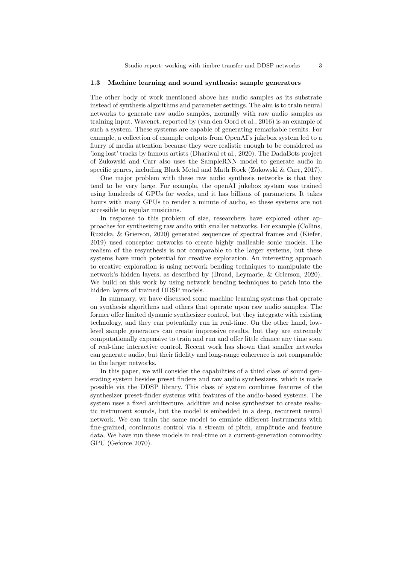#### 1.3 Machine learning and sound synthesis: sample generators

The other body of work mentioned above has audio samples as its substrate instead of synthesis algorithms and parameter settings. The aim is to train neural networks to generate raw audio samples, normally with raw audio samples as training input. Wavenet, reported by (van den Oord et al., 2016) is an example of such a system. These systems are capable of generating remarkable results. For example, a collection of example outputs from OpenAI's jukebox system led to a flurry of media attention because they were realistic enough to be considered as 'long lost' tracks by famous artists (Dhariwal et al., 2020). The DadaBots project of Zukowski and Carr also uses the SampleRNN model to generate audio in specific genres, including Black Metal and Math Rock (Zukowski & Carr, 2017).

One major problem with these raw audio synthesis networks is that they tend to be very large. For example, the openAI jukebox system was trained using hundreds of GPUs for weeks, and it has billions of parameters. It takes hours with many GPUs to render a minute of audio, so these systems are not accessible to regular musicians.

In response to this problem of size, researchers have explored other approaches for synthesizing raw audio with smaller networks. For example (Collins, Ruzicka, & Grierson, 2020) generated sequences of spectral frames and (Kiefer, 2019) used conceptor networks to create highly malleable sonic models. The realism of the resynthesis is not comparable to the larger systems, but these systems have much potential for creative exploration. An interesting approach to creative exploration is using network bending techniques to manipulate the network's hidden layers, as described by (Broad, Leymarie, & Grierson, 2020). We build on this work by using network bending techniques to patch into the hidden layers of trained DDSP models.

In summary, we have discussed some machine learning systems that operate on synthesis algorithms and others that operate upon raw audio samples. The former offer limited dynamic synthesizer control, but they integrate with existing technology, and they can potentially run in real-time. On the other hand, lowlevel sample generators can create impressive results, but they are extremely computationally expensive to train and run and offer little chance any time soon of real-time interactive control. Recent work has shown that smaller networks can generate audio, but their fidelity and long-range coherence is not comparable to the larger networks.

In this paper, we will consider the capabilities of a third class of sound generating system besides preset finders and raw audio synthesizers, which is made possible via the DDSP library. This class of system combines features of the synthesizer preset-finder systems with features of the audio-based systems. The system uses a fixed architecture, additive and noise synthesizer to create realistic instrument sounds, but the model is embedded in a deep, recurrent neural network. We can train the same model to emulate different instruments with fine-grained, continuous control via a stream of pitch, amplitude and feature data. We have run these models in real-time on a current-generation commodity GPU (Geforce 2070).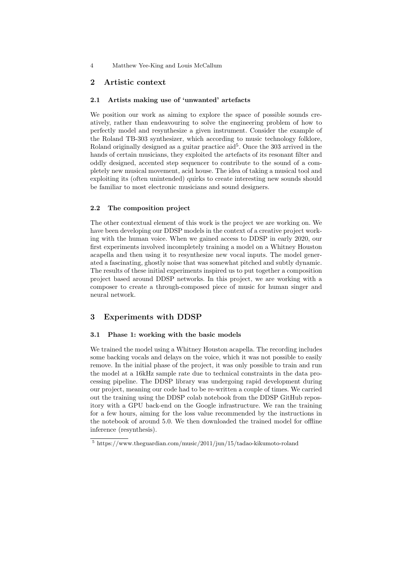# 2 Artistic context

# 2.1 Artists making use of 'unwanted' artefacts

We position our work as aiming to explore the space of possible sounds creatively, rather than endeavouring to solve the engineering problem of how to perfectly model and resynthesize a given instrument. Consider the example of the Roland TB-303 synthesizer, which according to music technology folklore, Roland originally designed as a guitar practice  $\text{aid}^5$ . Once the 303 arrived in the hands of certain musicians, they exploited the artefacts of its resonant filter and oddly designed, accented step sequencer to contribute to the sound of a completely new musical movement, acid house. The idea of taking a musical tool and exploiting its (often unintended) quirks to create interesting new sounds should be familiar to most electronic musicians and sound designers.

### 2.2 The composition project

The other contextual element of this work is the project we are working on. We have been developing our DDSP models in the context of a creative project working with the human voice. When we gained access to DDSP in early 2020, our first experiments involved incompletely training a model on a Whitney Houston acapella and then using it to resynthesize new vocal inputs. The model generated a fascinating, ghostly noise that was somewhat pitched and subtly dynamic. The results of these initial experiments inspired us to put together a composition project based around DDSP networks. In this project, we are working with a composer to create a through-composed piece of music for human singer and neural network.

# 3 Experiments with DDSP

#### 3.1 Phase 1: working with the basic models

We trained the model using a Whitney Houston acapella. The recording includes some backing vocals and delays on the voice, which it was not possible to easily remove. In the initial phase of the project, it was only possible to train and run the model at a 16kHz sample rate due to technical constraints in the data processing pipeline. The DDSP library was undergoing rapid development during our project, meaning our code had to be re-written a couple of times. We carried out the training using the DDSP colab notebook from the DDSP GitHub repository with a GPU back-end on the Google infrastructure. We ran the training for a few hours, aiming for the loss value recommended by the instructions in the notebook of around 5.0. We then downloaded the trained model for offline inference (resynthesis).

<sup>5</sup> https://www.theguardian.com/music/2011/jun/15/tadao-kikumoto-roland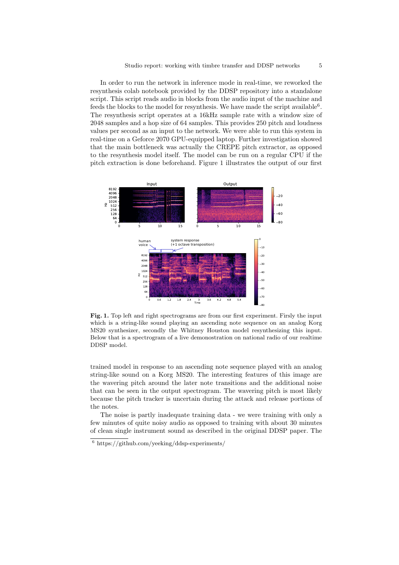In order to run the network in inference mode in real-time, we reworked the resynthesis colab notebook provided by the DDSP repository into a standalone script. This script reads audio in blocks from the audio input of the machine and feeds the blocks to the model for resynthesis. We have made the script available<sup>6</sup>. The resynthesis script operates at a 16kHz sample rate with a window size of 2048 samples and a hop size of 64 samples. This provides 250 pitch and loudness values per second as an input to the network. We were able to run this system in real-time on a Geforce 2070 GPU-equipped laptop. Further investigation showed that the main bottleneck was actually the CREPE pitch extractor, as opposed to the resynthesis model itself. The model can be run on a regular CPU if the pitch extraction is done beforehand. Figure 1 illustrates the output of our first



Fig. 1. Top left and right spectrograms are from our first experiment. Firsly the input which is a string-like sound playing an ascending note sequence on an analog Korg MS20 synthesizer, secondly the Whitney Houston model resynthesizing this input. Below that is a spectrogram of a live demonostration on national radio of our realtime DDSP model.

trained model in response to an ascending note sequence played with an analog string-like sound on a Korg MS20. The interesting features of this image are the wavering pitch around the later note transitions and the additional noise that can be seen in the output spectrogram. The wavering pitch is most likely because the pitch tracker is uncertain during the attack and release portions of the notes.

The noise is partly inadequate training data - we were training with only a few minutes of quite noisy audio as opposed to training with about 30 minutes of clean single instrument sound as described in the original DDSP paper. The

 $6 \text{ https://github.com/yeeking/ddsp-experiments/}$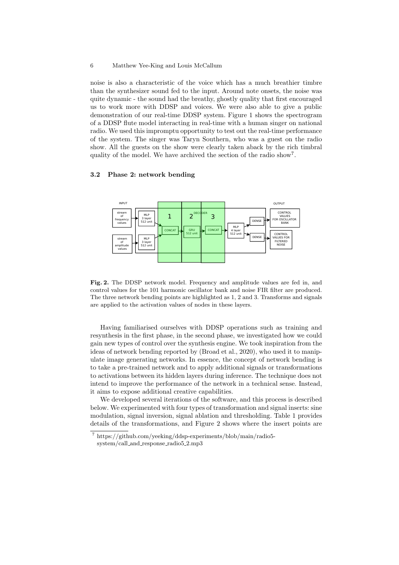noise is also a characteristic of the voice which has a much breathier timbre than the synthesizer sound fed to the input. Around note onsets, the noise was quite dynamic - the sound had the breathy, ghostly quality that first encouraged us to work more with DDSP and voices. We were also able to give a public demonstration of our real-time DDSP system. Figure 1 shows the spectrogram of a DDSP flute model interacting in real-time with a human singer on national radio. We used this impromptu opportunity to test out the real-time performance of the system. The singer was Taryn Southern, who was a guest on the radio show. All the guests on the show were clearly taken aback by the rich timbral quality of the model. We have archived the section of the radio show<sup>7</sup>.

# 3.2 Phase 2: network bending



Fig. 2. The DDSP network model. Frequency and amplitude values are fed in, and control values for the 101 harmonic oscillator bank and noise FIR filter are produced. The three network bending points are highlighted as 1, 2 and 3. Transforms and signals are applied to the activation values of nodes in these layers.

Having familiarised ourselves with DDSP operations such as training and resynthesis in the first phase, in the second phase, we investigated how we could gain new types of control over the synthesis engine. We took inspiration from the ideas of network bending reported by (Broad et al., 2020), who used it to manipulate image generating networks. In essence, the concept of network bending is to take a pre-trained network and to apply additional signals or transformations to activations between its hidden layers during inference. The technique does not intend to improve the performance of the network in a technical sense. Instead, it aims to expose additional creative capabilities.

We developed several iterations of the software, and this process is described below. We experimented with four types of transformation and signal inserts: sine modulation, signal inversion, signal ablation and thresholding. Table 1 provides details of the transformations, and Figure 2 shows where the insert points are

 $^7$ https://github.com/yeeking/ddsp-experiments/blob/main/radio5system/call and response radio5 2.mp3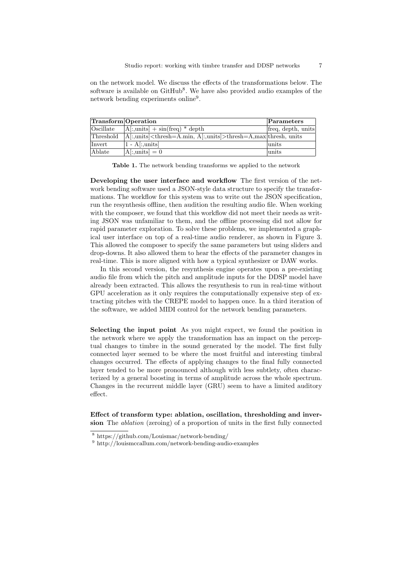on the network model. We discuss the effects of the transformations below. The software is available on GitHub<sup>8</sup>. We have also provided audio examples of the network bending experiments online<sup>9</sup>.

| Transform Operation |                                                                                           | Parameters         |
|---------------------|-------------------------------------------------------------------------------------------|--------------------|
| Oscillate           | $ A $ :,units $  + \sin(\text{freq}) * \text{depth}$                                      | freq, depth, units |
| Threshold           | $ A :$ , units $\lt$ thresh=A.min, A $[:$ , units $\gt$ thresh=A, max $\lt$ thresh, units |                    |
| Invert              | $ 1 - A $ : units                                                                         | units              |
| Ablate              | $[A]:$ , units $] = 0$                                                                    | units              |

Table 1. The network bending transforms we applied to the network

Developing the user interface and workflow The first version of the network bending software used a JSON-style data structure to specify the transformations. The workflow for this system was to write out the JSON specification, run the resynthesis offline, then audition the resulting audio file. When working with the composer, we found that this workflow did not meet their needs as writing JSON was unfamiliar to them, and the offline processing did not allow for rapid parameter exploration. To solve these problems, we implemented a graphical user interface on top of a real-time audio renderer, as shown in Figure 3. This allowed the composer to specify the same parameters but using sliders and drop-downs. It also allowed them to hear the effects of the parameter changes in real-time. This is more aligned with how a typical synthesizer or DAW works.

In this second version, the resynthesis engine operates upon a pre-existing audio file from which the pitch and amplitude inputs for the DDSP model have already been extracted. This allows the resynthesis to run in real-time without GPU acceleration as it only requires the computationally expensive step of extracting pitches with the CREPE model to happen once. In a third iteration of the software, we added MIDI control for the network bending parameters.

Selecting the input point As you might expect, we found the position in the network where we apply the transformation has an impact on the perceptual changes to timbre in the sound generated by the model. The first fully connected layer seemed to be where the most fruitful and interesting timbral changes occurred. The effects of applying changes to the final fully connected layer tended to be more pronounced although with less subtlety, often characterized by a general boosting in terms of amplitude across the whole spectrum. Changes in the recurrent middle layer (GRU) seem to have a limited auditory effect.

Effect of transform type: ablation, oscillation, thresholding and inversion The ablation (zeroing) of a proportion of units in the first fully connected

<sup>8</sup> https://github.com/Louismac/network-bending/

 $^9$ http://louismccallum.com/network-bending-audio-examples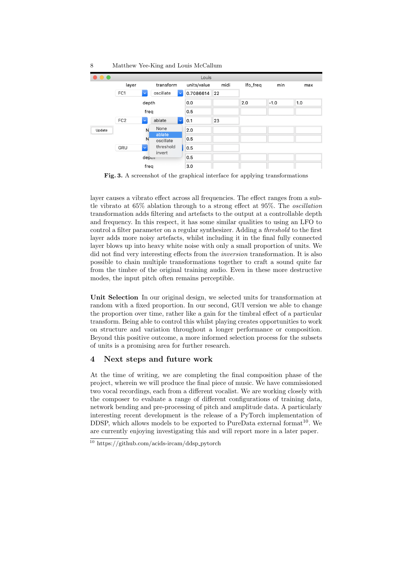

Fig. 3. A screenshot of the graphical interface for applying transformations

layer causes a vibrato effect across all frequencies. The effect ranges from a subtle vibrato at 65% ablation through to a strong effect at 95%. The oscillation transformation adds filtering and artefacts to the output at a controllable depth and frequency. In this respect, it has some similar qualities to using an LFO to control a filter parameter on a regular synthesizer. Adding a threshold to the first layer adds more noisy artefacts, whilst including it in the final fully connected layer blows up into heavy white noise with only a small proportion of units. We did not find very interesting effects from the inversion transformation. It is also possible to chain multiple transformations together to craft a sound quite far from the timbre of the original training audio. Even in these more destructive modes, the input pitch often remains perceptible.

Unit Selection In our original design, we selected units for transformation at random with a fixed proportion. In our second, GUI version we able to change the proportion over time, rather like a gain for the timbral effect of a particular transform. Being able to control this whilst playing creates opportunities to work on structure and variation throughout a longer performance or composition. Beyond this positive outcome, a more informed selection process for the subsets of units is a promising area for further research.

# 4 Next steps and future work

At the time of writing, we are completing the final composition phase of the project, wherein we will produce the final piece of music. We have commissioned two vocal recordings, each from a different vocalist. We are working closely with the composer to evaluate a range of different configurations of training data, network bending and pre-processing of pitch and amplitude data. A particularly interesting recent development is the release of a PyTorch implementation of DDSP, which allows models to be exported to PureData external format<sup>10</sup>. We are currently enjoying investigating this and will report more in a later paper.

 $^{10}$ https://github.com/acids-ircam/ddsp\_pytorch